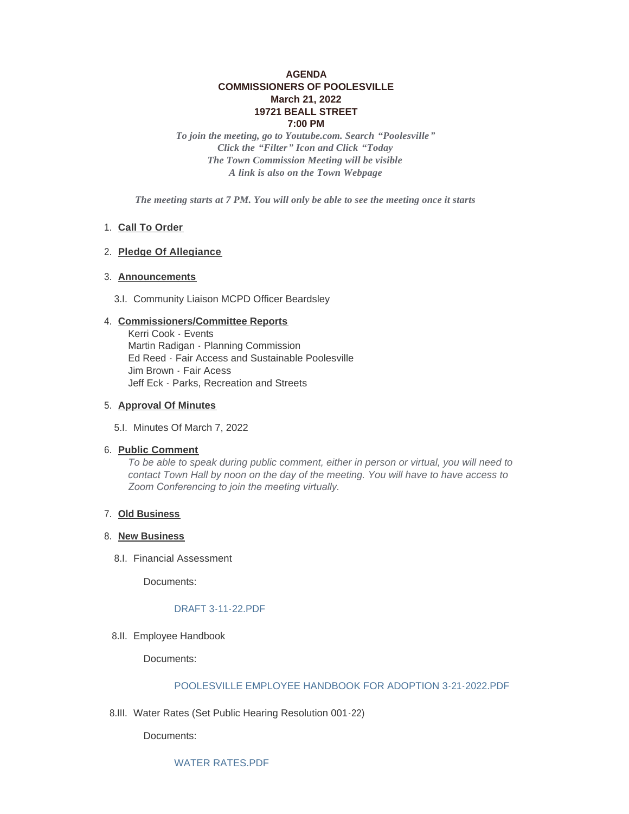# **AGENDA COMMISSIONERS OF POOLESVILLE March 21, 2022 19721 BEALL STREET 7:00 PM**

*To join the meeting, go to Youtube.com. Search "Poolesville" Click the "Filter" Icon and Click "Today The Town Commission Meeting will be visible A link is also on the Town Webpage*

*The meeting starts at 7 PM. You will only be able to see the meeting once it starts*

## 1. Call To Order

## **Pledge Of Allegiance** 2.

## **Announcements** 3.

3.I. Community Liaison MCPD Officer Beardsley

## **Commissioners/Committee Reports** 4.

Kerri Cook - Events Martin Radigan - Planning Commission Ed Reed - Fair Access and Sustainable Poolesville Jim Brown - Fair Acess Jeff Eck - Parks, Recreation and Streets

### **Approval Of Minutes** 5.

5.I. Minutes Of March 7, 2022

#### **Public Comment** 6.

*To be able to speak during public comment, either in person or virtual, you will need to contact Town Hall by noon on the day of the meeting. You will have to have access to Zoom Conferencing to join the meeting virtually.* 

### **Old Business** 7.

## 8. New Business

8.I. Financial Assessment

Documents:

#### [DRAFT 3-11-22.PDF](https://www.poolesvillemd.gov/AgendaCenter/ViewFile/Item/4160?fileID=6840)

8.II. Employee Handbook

Documents:

## [POOLESVILLE EMPLOYEE HANDBOOK FOR ADOPTION 3-21-2022.PDF](https://www.poolesvillemd.gov/AgendaCenter/ViewFile/Item/4161?fileID=6839)

8.III. Water Rates (Set Public Hearing Resolution 001-22)

Documents: